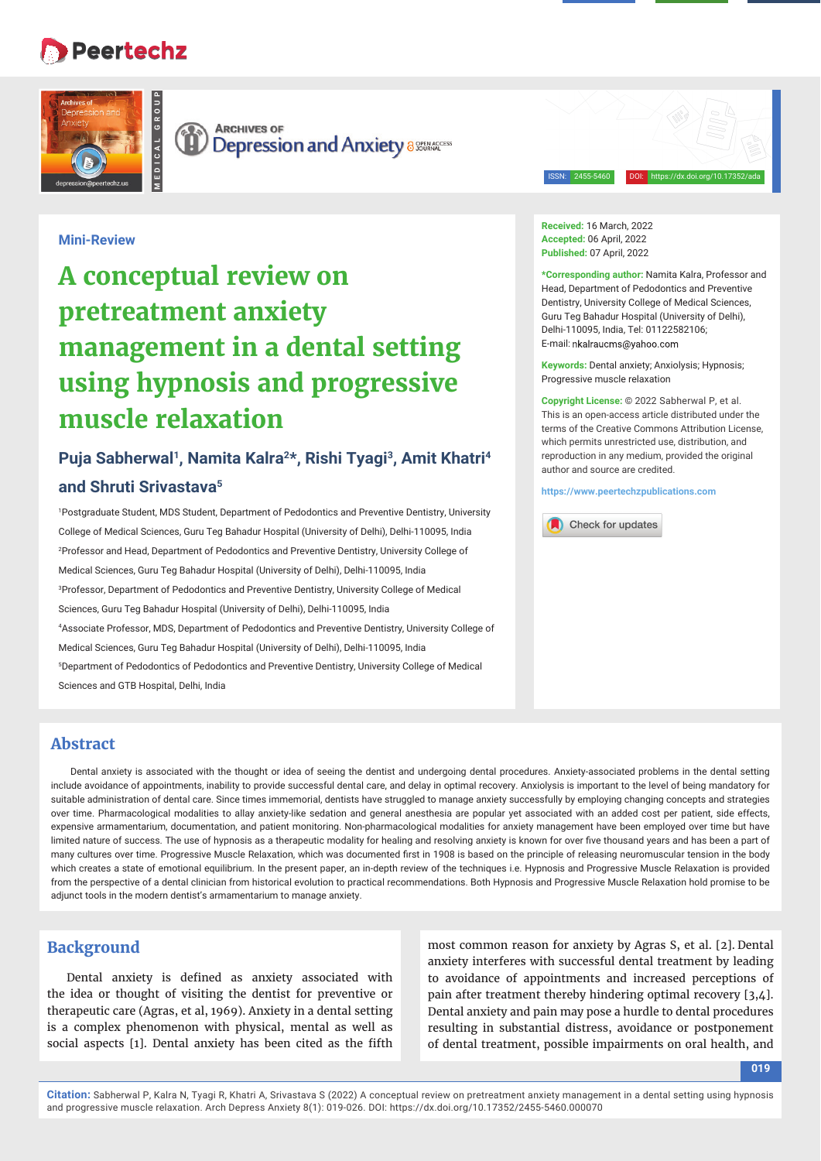# **Peertechz**

**MEDICAL GROUP**



G **ARCHIVES OF Depression and Anxiety assessments** 

ISSN: 2455-5460 DOI: https://dx.doi.org/10.17352/ada

# **Mini-Review**

# **A conceptual review on pretreatment anxiety management in a dental setting using hypnosis and progressive muscle relaxation**

# **Puja Sabherwal1, Namita Kalra2\*, Rishi Tyagi3, Amit Khatri4 and Shruti Srivastava5**

1 Postgraduate Student, MDS Student, Department of Pedodontics and Preventive Dentistry, University College of Medical Sciences, Guru Teg Bahadur Hospital (University of Delhi), Delhi-110095, India 2 Professor and Head, Department of Pedodontics and Preventive Dentistry, University College of Medical Sciences, Guru Teg Bahadur Hospital (University of Delhi), Delhi-110095, India 3 Professor, Department of Pedodontics and Preventive Dentistry, University College of Medical Sciences, Guru Teg Bahadur Hospital (University of Delhi), Delhi-110095, India 4 Associate Professor, MDS, Department of Pedodontics and Preventive Dentistry, University College of Medical Sciences, Guru Teg Bahadur Hospital (University of Delhi), Delhi-110095, India 5 Department of Pedodontics of Pedodontics and Preventive Dentistry, University College of Medical Sciences and GTB Hospital, Delhi, India

**Received:** 16 March, 2022 **Accepted:** 06 April, 2022 **Published:** 07 April, 2022

**\*Corresponding author:** Namita Kalra, Professor and Head, Department of Pedodontics and Preventive Dentistry, University College of Medical Sciences, Guru Teg Bahadur Hospital (University of Delhi), Delhi-110095, India, Tel: 01122582106; E-mail: nkalraucms@vahoo.com

**Keywords:** Dental anxiety; Anxiolysis; Hypnosis; Progressive muscle relaxation

**Copyright License:** © 2022 Sabherwal P, et al. This is an open-access article distributed under the terms of the Creative Commons Attribution License, which permits unrestricted use, distribution, and reproduction in any medium, provided the original author and source are credited.

**https://www.peertechzpublications.com**



## **Abstract**

Dental anxiety is associated with the thought or idea of seeing the dentist and undergoing dental procedures. Anxiety-associated problems in the dental setting include avoidance of appointments, inability to provide successful dental care, and delay in optimal recovery. Anxiolysis is important to the level of being mandatory for suitable administration of dental care. Since times immemorial, dentists have struggled to manage anxiety successfully by employing changing concepts and strategies over time. Pharmacological modalities to allay anxiety-like sedation and general anesthesia are popular yet associated with an added cost per patient, side effects, expensive armamentarium, documentation, and patient monitoring. Non-pharmacological modalities for anxiety management have been employed over time but have limited nature of success. The use of hypnosis as a therapeutic modality for healing and resolving anxiety is known for over five thousand years and has been a part of many cultures over time. Progressive Muscle Relaxation, which was documented first in 1908 is based on the principle of releasing neuromuscular tension in the body which creates a state of emotional equilibrium. In the present paper, an in-depth review of the techniques i.e. Hypnosis and Progressive Muscle Relaxation is provided from the perspective of a dental clinician from historical evolution to practical recommendations. Both Hypnosis and Progressive Muscle Relaxation hold promise to be adjunct tools in the modern dentist's armamentarium to manage anxiety.

# **Background**

Dental anxiety is defined as anxiety associated with the idea or thought of visiting the dentist for preventive or therapeutic care (Agras, et al, 1969). Anxiety in a dental setting is a complex phenomenon with physical, mental as well as social aspects [1]. Dental anxiety has been cited as the fifth

most common reason for anxiety by Agras S, et al. [2]. Dental anxiety interferes with successful dental treatment by leading to avoidance of appointments and increased perceptions of pain after treatment thereby hindering optimal recovery [3,4]. Dental anxiety and pain may pose a hurdle to dental procedures resulting in substantial distress, avoidance or postponement of dental treatment, possible impairments on oral health, and

**019**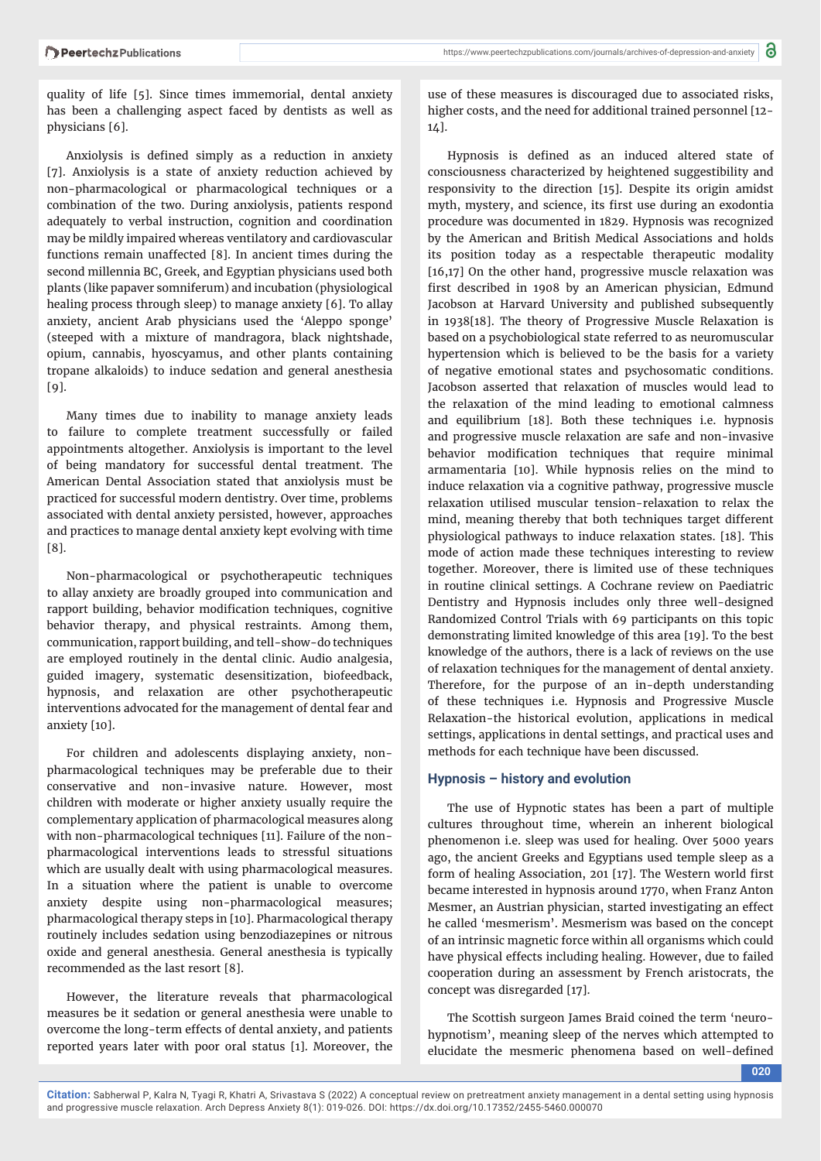quality of life [5]. Since times immemorial, dental anxiety has been a challenging aspect faced by dentists as well as physicians [6].

Anxiolysis is defined simply as a reduction in anxiety [7]. Anxiolysis is a state of anxiety reduction achieved by non-pharmacological or pharmacological techniques or a combination of the two. During anxiolysis, patients respond adequately to verbal instruction, cognition and coordination may be mildly impaired whereas ventilatory and cardiovascular functions remain unaffected [8]. In ancient times during the second millennia BC, Greek, and Egyptian physicians used both plants (like papaver somniferum) and incubation (physiological healing process through sleep) to manage anxiety [6]. To allay anxiety, ancient Arab physicians used the 'Aleppo sponge' (steeped with a mixture of mandragora, black nightshade, opium, cannabis, hyoscyamus, and other plants containing tropane alkaloids) to induce sedation and general anesthesia  $[9]$ .

Many times due to inability to manage anxiety leads to failure to complete treatment successfully or failed appointments altogether. Anxiolysis is important to the level of being mandatory for successful dental treatment. The American Dental Association stated that anxiolysis must be practiced for successful modern dentistry. Over time, problems associated with dental anxiety persisted, however, approaches and practices to manage dental anxiety kept evolving with time [8].

Non-pharmacological or psychotherapeutic techniques to allay anxiety are broadly grouped into communication and rapport building, behavior modification techniques, cognitive behavior therapy, and physical restraints. Among them, communication, rapport building, and tell-show-do techniques are employed routinely in the dental clinic. Audio analgesia, guided imagery, systematic desensitization, biofeedback, hypnosis, and relaxation are other psychotherapeutic interventions advocated for the management of dental fear and anxiety [10].

For children and adolescents displaying anxiety, nonpharmacological techniques may be preferable due to their conservative and non-invasive nature. However, most children with moderate or higher anxiety usually require the complementary application of pharmacological measures along with non-pharmacological techniques [11]. Failure of the nonpharmacological interventions leads to stressful situations which are usually dealt with using pharmacological measures. In a situation where the patient is unable to overcome anxiety despite using non-pharmacological measures; pharmacological therapy steps in [10]. Pharmacological therapy routinely includes sedation using benzodiazepines or nitrous oxide and general anesthesia. General anesthesia is typically recommended as the last resort [8].

However, the literature reveals that pharmacological measures be it sedation or general anesthesia were unable to overcome the long-term effects of dental anxiety, and patients reported years later with poor oral status [1]. Moreover, the

use of these measures is discouraged due to associated risks, higher costs, and the need for additional trained personnel [12-  $14$ ].

Hypnosis is defined as an induced altered state of consciousness characterized by heightened suggestibility and responsivity to the direction [15]. Despite its origin amidst myth, mystery, and science, its first use during an exodontia procedure was documented in 1829. Hypnosis was recognized by the American and British Medical Associations and holds its position today as a respectable therapeutic modality [16,17] On the other hand, progressive muscle relaxation was first described in 1908 by an American physician, Edmund Jacobson at Harvard University and published subsequently in 1938[18]. The theory of Progressive Muscle Relaxation is based on a psychobiological state referred to as neuromuscular hypertension which is believed to be the basis for a variety of negative emotional states and psychosomatic conditions. Jacobson asserted that relaxation of muscles would lead to the relaxation of the mind leading to emotional calmness and equilibrium [18]. Both these techniques i.e. hypnosis and progressive muscle relaxation are safe and non-invasive behavior modification techniques that require minimal armamentaria [10]. While hypnosis relies on the mind to induce relaxation via a cognitive pathway, progressive muscle relaxation utilised muscular tension-relaxation to relax the mind, meaning thereby that both techniques target different physiological pathways to induce relaxation states. [18]. This mode of action made these techniques interesting to review together. Moreover, there is limited use of these techniques in routine clinical settings. A Cochrane review on Paediatric Dentistry and Hypnosis includes only three well-designed Randomized Control Trials with 69 participants on this topic demonstrating limited knowledge of this area [19]. To the best knowledge of the authors, there is a lack of reviews on the use of relaxation techniques for the management of dental anxiety. Therefore, for the purpose of an in-depth understanding of these techniques i.e. Hypnosis and Progressive Muscle Relaxation-the historical evolution, applications in medical settings, applications in dental settings, and practical uses and methods for each technique have been discussed.

#### **Hypnosis – history and evolution**

The use of Hypnotic states has been a part of multiple cultures throughout time, wherein an inherent biological phenomenon i.e. sleep was used for healing. Over 5000 years ago, the ancient Greeks and Egyptians used temple sleep as a form of healing Association, 201 [17]. The Western world first became interested in hypnosis around 1770, when Franz Anton Mesmer, an Austrian physician, started investigating an effect he called 'mesmerism'. Mesmerism was based on the concept of an intrinsic magnetic force within all organisms which could have physical effects including healing. However, due to failed cooperation during an assessment by French aristocrats, the concept was disregarded [17].

The Scottish surgeon James Braid coined the term 'neurohypnotism', meaning sleep of the nerves which attempted to elucidate the mesmeric phenomena based on well-defined

**020**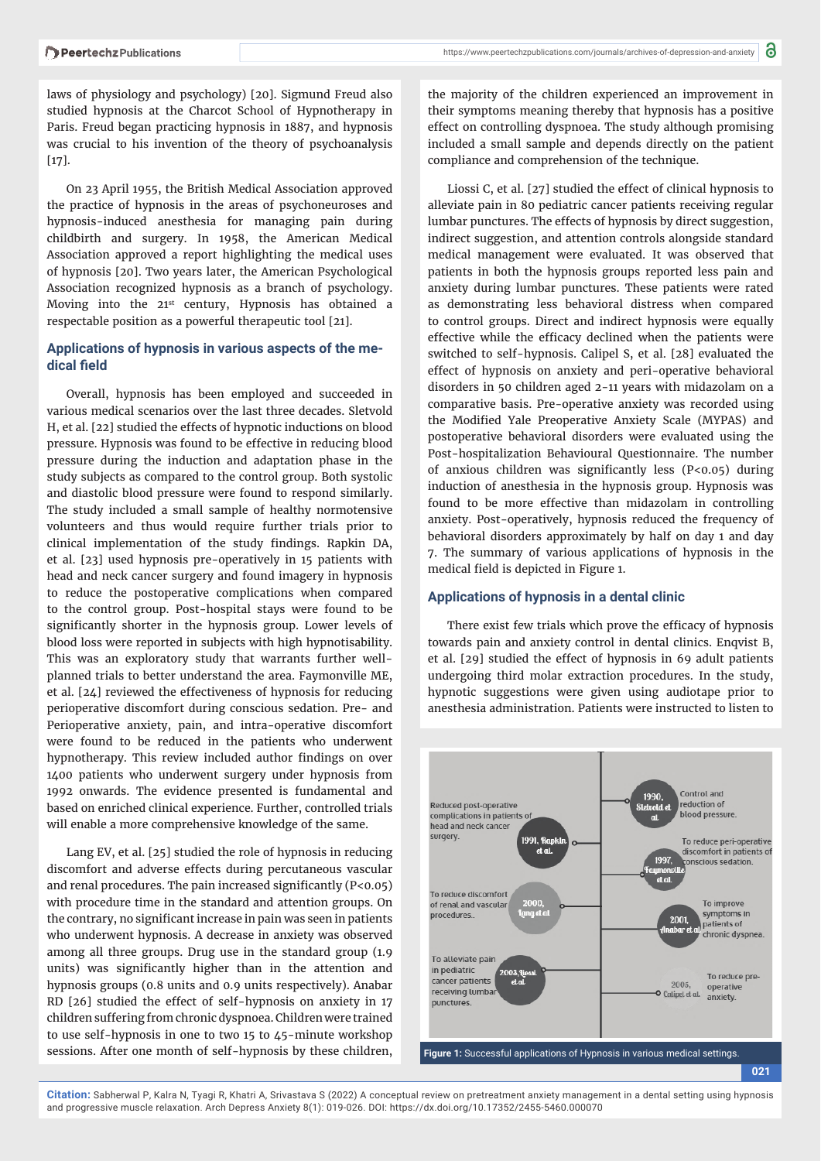laws of physiology and psychology) [20]. Sigmund Freud also studied hypnosis at the Charcot School of Hypnotherapy in Paris. Freud began practicing hypnosis in 1887, and hypnosis was crucial to his invention of the theory of psychoanalysis  $[17]$ .

On 23 April 1955, the British Medical Association approved the practice of hypnosis in the areas of psychoneuroses and hypnosis-induced anesthesia for managing pain during childbirth and surgery. In 1958, the American Medical Association approved a report highlighting the medical uses of hypnosis [20]. Two years later, the American Psychological Association recognized hypnosis as a branch of psychology. Moving into the 21st century, Hypnosis has obtained a respectable position as a powerful therapeutic tool [21].

# **Applications of hypnosis in various aspects of the me**dical field

Overall, hypnosis has been employed and succeeded in various medical scenarios over the last three decades. Sletvold H, et al. [22] studied the effects of hypnotic inductions on blood pressure. Hypnosis was found to be effective in reducing blood pressure during the induction and adaptation phase in the study subjects as compared to the control group. Both systolic and diastolic blood pressure were found to respond similarly. The study included a small sample of healthy normotensive volunteers and thus would require further trials prior to clinical implementation of the study findings. Rapkin DA, et al. [23] used hypnosis pre-operatively in 15 patients with head and neck cancer surgery and found imagery in hypnosis to reduce the postoperative complications when compared to the control group. Post-hospital stays were found to be significantly shorter in the hypnosis group. Lower levels of blood loss were reported in subjects with high hypnotisability. This was an exploratory study that warrants further wellplanned trials to better understand the area. Faymonville ME, et al. [24] reviewed the effectiveness of hypnosis for reducing perioperative discomfort during conscious sedation. Pre- and Perioperative anxiety, pain, and intra-operative discomfort were found to be reduced in the patients who underwent hypnotherapy. This review included author findings on over 1400 patients who underwent surgery under hypnosis from 1992 onwards. The evidence presented is fundamental and based on enriched clinical experience. Further, controlled trials will enable a more comprehensive knowledge of the same.

Lang EV, et al. [25] studied the role of hypnosis in reducing discomfort and adverse effects during percutaneous vascular and renal procedures. The pain increased significantly  $(P<0.05)$ with procedure time in the standard and attention groups. On the contrary, no significant increase in pain was seen in patients who underwent hypnosis. A decrease in anxiety was observed among all three groups. Drug use in the standard group (1.9 units) was significantly higher than in the attention and hypnosis groups (0.8 units and 0.9 units respectively). Anabar RD [26] studied the effect of self-hypnosis on anxiety in 17 children suffering from chronic dyspnoea. Children were trained to use self-hypnosis in one to two 15 to 45-minute workshop sessions. After one month of self-hypnosis by these children,

the majority of the children experienced an improvement in their symptoms meaning thereby that hypnosis has a positive effect on controlling dyspnoea. The study although promising included a small sample and depends directly on the patient compliance and comprehension of the technique.

Liossi C, et al. [27] studied the effect of clinical hypnosis to alleviate pain in 80 pediatric cancer patients receiving regular lumbar punctures. The effects of hypnosis by direct suggestion, indirect suggestion, and attention controls alongside standard medical management were evaluated. It was observed that patients in both the hypnosis groups reported less pain and anxiety during lumbar punctures. These patients were rated as demonstrating less behavioral distress when compared to control groups. Direct and indirect hypnosis were equally effective while the efficacy declined when the patients were switched to self-hypnosis. Calipel S, et al. [28] evaluated the effect of hypnosis on anxiety and peri-operative behavioral disorders in 50 children aged 2-11 years with midazolam on a comparative basis. Pre-operative anxiety was recorded using the Modified Yale Preoperative Anxiety Scale (MYPAS) and postoperative behavioral disorders were evaluated using the Post-hospitalization Behavioural Questionnaire. The number of anxious children was significantly less  $(P<0.05)$  during induction of anesthesia in the hypnosis group. Hypnosis was found to be more effective than midazolam in controlling anxiety. Post-operatively, hypnosis reduced the frequency of behavioral disorders approximately by half on day 1 and day 7. The summary of various applications of hypnosis in the medical field is depicted in Figure 1.

# **Applications of hypnosis in a dental clinic**

There exist few trials which prove the efficacy of hypnosis towards pain and anxiety control in dental clinics. Enqvist B, et al. [29] studied the effect of hypnosis in 69 adult patients undergoing third molar extraction procedures. In the study, hypnotic suggestions were given using audiotape prior to anesthesia administration. Patients were instructed to listen to

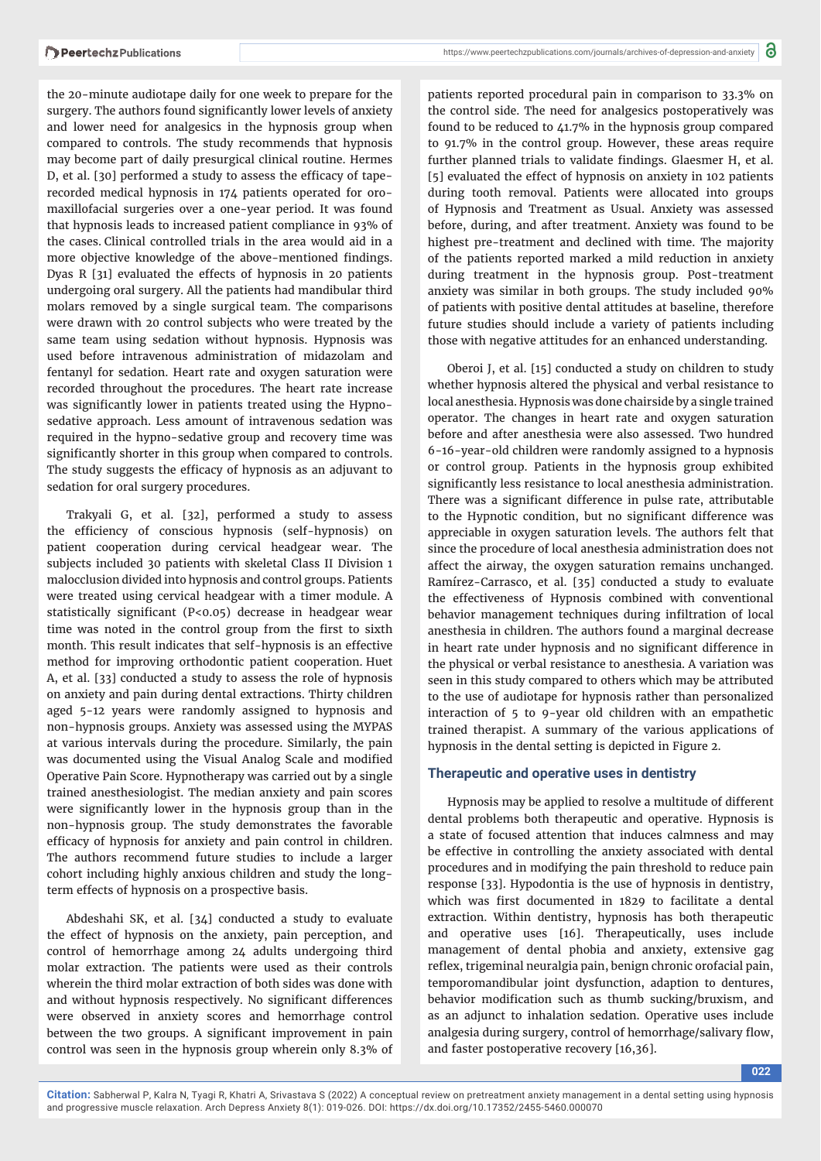the 20-minute audiotape daily for one week to prepare for the surgery. The authors found significantly lower levels of anxiety and lower need for analgesics in the hypnosis group when compared to controls. The study recommends that hypnosis may become part of daily presurgical clinical routine. Hermes D, et al. [30] performed a study to assess the efficacy of taperecorded medical hypnosis in 174 patients operated for oromaxillofacial surgeries over a one-year period. It was found that hypnosis leads to increased patient compliance in 93% of the cases. Clinical controlled trials in the area would aid in a more objective knowledge of the above-mentioned findings. Dyas R [31] evaluated the effects of hypnosis in 20 patients undergoing oral surgery. All the patients had mandibular third molars removed by a single surgical team. The comparisons were drawn with 20 control subjects who were treated by the same team using sedation without hypnosis. Hypnosis was used before intravenous administration of midazolam and fentanyl for sedation. Heart rate and oxygen saturation were recorded throughout the procedures. The heart rate increase was significantly lower in patients treated using the Hypnosedative approach. Less amount of intravenous sedation was required in the hypno-sedative group and recovery time was significantly shorter in this group when compared to controls. The study suggests the efficacy of hypnosis as an adjuvant to sedation for oral surgery procedures.

Trakyali G, et al. [32], performed a study to assess the efficiency of conscious hypnosis (self-hypnosis) on patient cooperation during cervical headgear wear. The subjects included 30 patients with skeletal Class II Division 1 malocclusion divided into hypnosis and control groups. Patients were treated using cervical headgear with a timer module. A statistically significant (P<0.05) decrease in headgear wear time was noted in the control group from the first to sixth month. This result indicates that self-hypnosis is an effective method for improving orthodontic patient cooperation. Huet A, et al. [33] conducted a study to assess the role of hypnosis on anxiety and pain during dental extractions. Thirty children aged 5-12 years were randomly assigned to hypnosis and non-hypnosis groups. Anxiety was assessed using the MYPAS at various intervals during the procedure. Similarly, the pain was documented using the Visual Analog Scale and modified Operative Pain Score. Hypnotherapy was carried out by a single trained anesthesiologist. The median anxiety and pain scores were significantly lower in the hypnosis group than in the non-hypnosis group. The study demonstrates the favorable efficacy of hypnosis for anxiety and pain control in children. The authors recommend future studies to include a larger cohort including highly anxious children and study the longterm effects of hypnosis on a prospective basis.

Abdeshahi SK, et al. [34] conducted a study to evaluate the effect of hypnosis on the anxiety, pain perception, and control of hemorrhage among 24 adults undergoing third molar extraction. The patients were used as their controls wherein the third molar extraction of both sides was done with and without hypnosis respectively. No significant differences were observed in anxiety scores and hemorrhage control between the two groups. A significant improvement in pain control was seen in the hypnosis group wherein only 8.3% of

patients reported procedural pain in comparison to 33.3% on the control side. The need for analgesics postoperatively was found to be reduced to 41.7% in the hypnosis group compared to 91.7% in the control group. However, these areas require further planned trials to validate findings. Glaesmer H, et al. [5] evaluated the effect of hypnosis on anxiety in 102 patients during tooth removal. Patients were allocated into groups of Hypnosis and Treatment as Usual. Anxiety was assessed before, during, and after treatment. Anxiety was found to be highest pre-treatment and declined with time. The majority of the patients reported marked a mild reduction in anxiety during treatment in the hypnosis group. Post-treatment anxiety was similar in both groups. The study included 90% of patients with positive dental attitudes at baseline, therefore future studies should include a variety of patients including those with negative attitudes for an enhanced understanding.

Oberoi J, et al. [15] conducted a study on children to study whether hypnosis altered the physical and verbal resistance to local anesthesia. Hypnosis was done chairside by a single trained operator. The changes in heart rate and oxygen saturation before and after anesthesia were also assessed. Two hundred 6-16-year-old children were randomly assigned to a hypnosis or control group. Patients in the hypnosis group exhibited significantly less resistance to local anesthesia administration. There was a significant difference in pulse rate, attributable to the Hypnotic condition, but no significant difference was appreciable in oxygen saturation levels. The authors felt that since the procedure of local anesthesia administration does not affect the airway, the oxygen saturation remains unchanged. Ramírez-Carrasco, et al. [35] conducted a study to evaluate the effectiveness of Hypnosis combined with conventional behavior management techniques during infiltration of local anesthesia in children. The authors found a marginal decrease in heart rate under hypnosis and no significant difference in the physical or verbal resistance to anesthesia. A variation was seen in this study compared to others which may be attributed to the use of audiotape for hypnosis rather than personalized interaction of 5 to 9-year old children with an empathetic trained therapist. A summary of the various applications of hypnosis in the dental setting is depicted in Figure 2.

#### **Therapeutic and operative uses in dentistry**

Hypnosis may be applied to resolve a multitude of different dental problems both therapeutic and operative. Hypnosis is a state of focused attention that induces calmness and may be effective in controlling the anxiety associated with dental procedures and in modifying the pain threshold to reduce pain response [33]. Hypodontia is the use of hypnosis in dentistry, which was first documented in 1829 to facilitate a dental extraction. Within dentistry, hypnosis has both therapeutic and operative uses [16]. Therapeutically, uses include management of dental phobia and anxiety, extensive gag reflex, trigeminal neuralgia pain, benign chronic orofacial pain, temporomandibular joint dysfunction, adaption to dentures, behavior modification such as thumb sucking/bruxism, and as an adjunct to inhalation sedation. Operative uses include analgesia during surgery, control of hemorrhage/salivary flow, and faster postoperative recovery [16,36].

**022**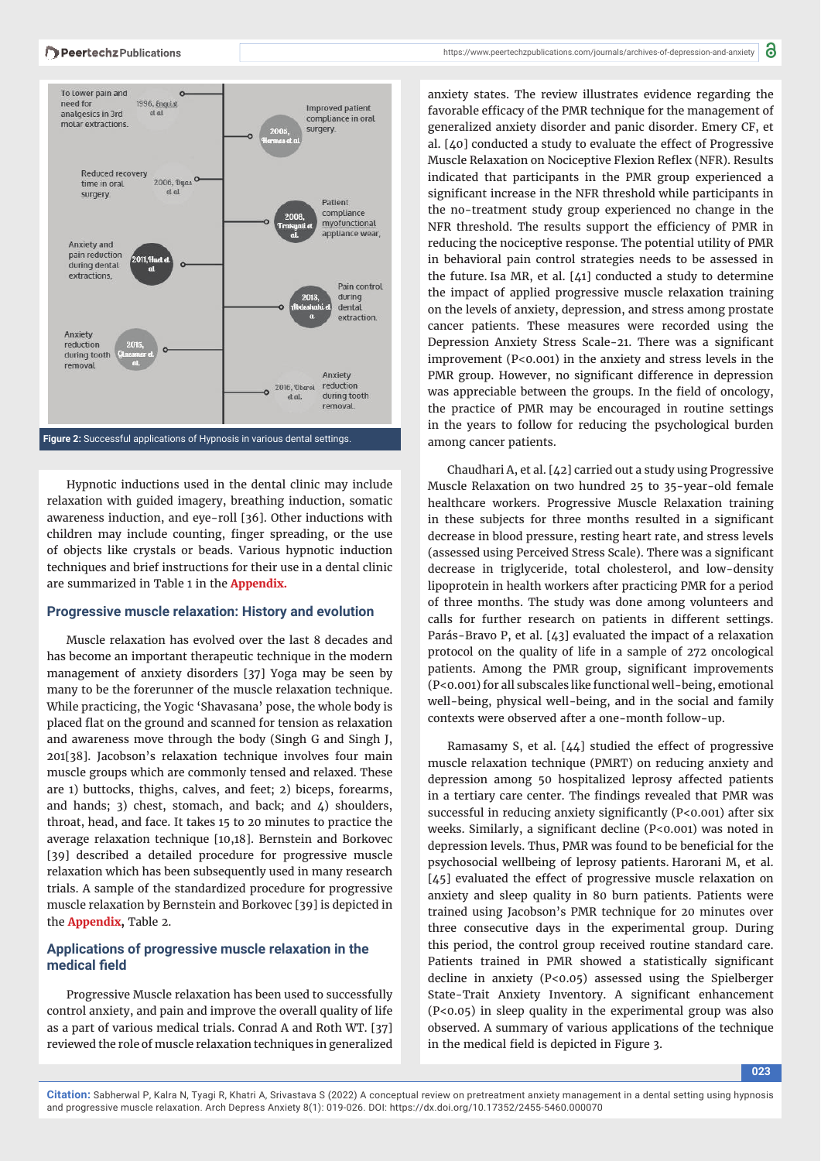

Hypnotic inductions used in the dental clinic may include relaxation with guided imagery, breathing induction, somatic awareness induction, and eye-roll [36]. Other inductions with children may include counting, finger spreading, or the use of objects like crystals or beads. Various hypnotic induction techniques and brief instructions for their use in a dental clinic are summarized in Table 1 in the **[Appendix.](https://www.peertechzpublications.com/articles/Appendix-ADA-8-170.rar)**

#### **Progressive muscle relaxation: History and evolution**

Muscle relaxation has evolved over the last 8 decades and has become an important therapeutic technique in the modern management of anxiety disorders [37] Yoga may be seen by many to be the forerunner of the muscle relaxation technique. While practicing, the Yogic 'Shavasana' pose, the whole body is placed flat on the ground and scanned for tension as relaxation and awareness move through the body (Singh G and Singh J, 201[38]. Jacobson's relaxation technique involves four main muscle groups which are commonly tensed and relaxed. These are 1) buttocks, thighs, calves, and feet; 2) biceps, forearms, and hands; 3) chest, stomach, and back; and  $\angle$ ) shoulders, throat, head, and face. It takes 15 to 20 minutes to practice the average relaxation technique [10,18]. Bernstein and Borkovec [39] described a detailed procedure for progressive muscle relaxation which has been subsequently used in many research trials. A sample of the standardized procedure for progressive muscle relaxation by Bernstein and Borkovec [39] is depicted in the **[Appendix,](https://www.peertechzpublications.com/articles/Appendix-ADA-8-170.rar)** Table 2.

# **Applications of progressive muscle relaxation in the**  medical field

Progressive Muscle relaxation has been used to successfully control anxiety, and pain and improve the overall quality of life as a part of various medical trials. Conrad A and Roth WT. [37] reviewed the role of muscle relaxation techniques in generalized anxiety states. The review illustrates evidence regarding the favorable efficacy of the PMR technique for the management of generalized anxiety disorder and panic disorder. Emery CF, et al. [40] conducted a study to evaluate the effect of Progressive Muscle Relaxation on Nociceptive Flexion Reflex (NFR). Results indicated that participants in the PMR group experienced a significant increase in the NFR threshold while participants in the no-treatment study group experienced no change in the NFR threshold. The results support the efficiency of PMR in reducing the nociceptive response. The potential utility of PMR in behavioral pain control strategies needs to be assessed in the future. Isa MR, et al. [41] conducted a study to determine the impact of applied progressive muscle relaxation training on the levels of anxiety, depression, and stress among prostate cancer patients. These measures were recorded using the Depression Anxiety Stress Scale-21. There was a significant improvement (P<0.001) in the anxiety and stress levels in the PMR group. However, no significant difference in depression was appreciable between the groups. In the field of oncology, the practice of PMR may be encouraged in routine settings in the years to follow for reducing the psychological burden among cancer patients.

Chaudhari A, et al. [42] carried out a study using Progressive Muscle Relaxation on two hundred 25 to 35-year-old female healthcare workers. Progressive Muscle Relaxation training in these subjects for three months resulted in a significant decrease in blood pressure, resting heart rate, and stress levels (assessed using Perceived Stress Scale). There was a significant decrease in triglyceride, total cholesterol, and low-density lipoprotein in health workers after practicing PMR for a period of three months. The study was done among volunteers and calls for further research on patients in different settings. Parás-Bravo P, et al. [43] evaluated the impact of a relaxation protocol on the quality of life in a sample of 272 oncological patients. Among the PMR group, significant improvements (P<0.001) for all subscales like functional well-being, emotional well-being, physical well-being, and in the social and family contexts were observed after a one-month follow-up.

Ramasamy S, et al.  $[44]$  studied the effect of progressive muscle relaxation technique (PMRT) on reducing anxiety and depression among 50 hospitalized leprosy affected patients in a tertiary care center. The findings revealed that PMR was successful in reducing anxiety significantly  $(P<0.001)$  after six weeks. Similarly, a significant decline (P<0.001) was noted in depression levels. Thus, PMR was found to be beneficial for the psychosocial wellbeing of leprosy patients. Harorani M, et al. [45] evaluated the effect of progressive muscle relaxation on anxiety and sleep quality in 80 burn patients. Patients were trained using Jacobson's PMR technique for 20 minutes over three consecutive days in the experimental group. During this period, the control group received routine standard care. Patients trained in PMR showed a statistically significant decline in anxiety (P<0.05) assessed using the Spielberger State-Trait Anxiety Inventory. A significant enhancement (P<0.05) in sleep quality in the experimental group was also observed. A summary of various applications of the technique in the medical field is depicted in Figure 3.

**023**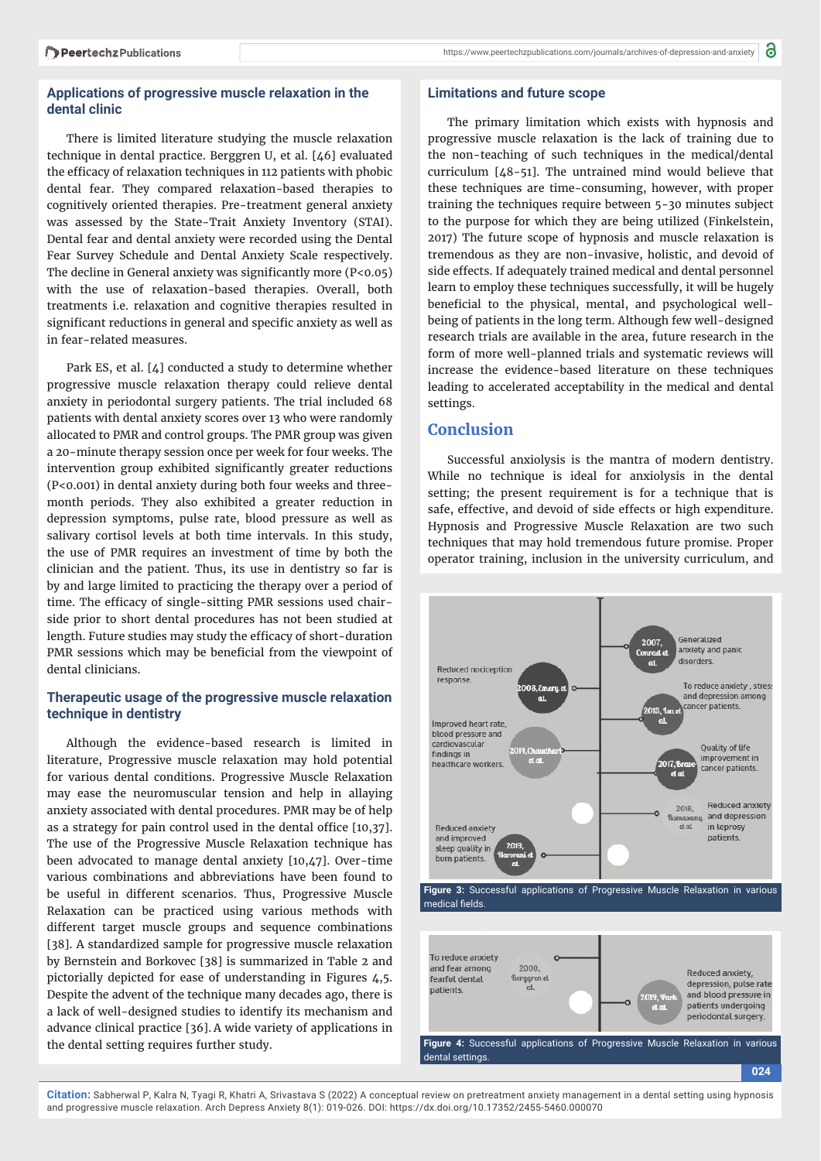### **Applications of progressive muscle relaxation in the dental clinic**

There is limited literature studying the muscle relaxation technique in dental practice. Berggren U, et al. [46] evaluated the efficacy of relaxation techniques in 112 patients with phobic dental fear. They compared relaxation-based therapies to cognitively oriented therapies. Pre-treatment general anxiety was assessed by the State-Trait Anxiety Inventory (STAI). Dental fear and dental anxiety were recorded using the Dental Fear Survey Schedule and Dental Anxiety Scale respectively. The decline in General anxiety was significantly more  $(P<0.05)$ with the use of relaxation-based therapies. Overall, both treatments i.e. relaxation and cognitive therapies resulted in significant reductions in general and specific anxiety as well as in fear-related measures.

Park ES, et al. [4] conducted a study to determine whether progressive muscle relaxation therapy could relieve dental anxiety in periodontal surgery patients. The trial included 68 patients with dental anxiety scores over 13 who were randomly allocated to PMR and control groups. The PMR group was given a 20-minute therapy session once per week for four weeks. The intervention group exhibited significantly greater reductions (P<0.001) in dental anxiety during both four weeks and threemonth periods. They also exhibited a greater reduction in depression symptoms, pulse rate, blood pressure as well as salivary cortisol levels at both time intervals. In this study, the use of PMR requires an investment of time by both the clinician and the patient. Thus, its use in dentistry so far is by and large limited to practicing the therapy over a period of time. The efficacy of single-sitting PMR sessions used chairside prior to short dental procedures has not been studied at length. Future studies may study the efficacy of short-duration PMR sessions which may be beneficial from the viewpoint of dental clinicians.

# **Therapeutic usage of the progressive muscle relaxation technique in dentistry**

Although the evidence-based research is limited in literature, Progressive muscle relaxation may hold potential for various dental conditions. Progressive Muscle Relaxation may ease the neuromuscular tension and help in allaying anxiety associated with dental procedures. PMR may be of help as a strategy for pain control used in the dental office  $[10,37]$ . The use of the Progressive Muscle Relaxation technique has been advocated to manage dental anxiety [10,47]. Over-time various combinations and abbreviations have been found to be useful in different scenarios. Thus, Progressive Muscle Relaxation can be practiced using various methods with different target muscle groups and sequence combinations [38]. A standardized sample for progressive muscle relaxation by Bernstein and Borkovec [38] is summarized in Table 2 and pictorially depicted for ease of understanding in Figures 4,5. Despite the advent of the technique many decades ago, there is a lack of well-designed studies to identify its mechanism and advance clinical practice [36]. A wide variety of applications in the dental setting requires further study.

#### **Limitations and future scope**

The primary limitation which exists with hypnosis and progressive muscle relaxation is the lack of training due to the non-teaching of such techniques in the medical/dental curriculum [48-51]. The untrained mind would believe that these techniques are time-consuming, however, with proper training the techniques require between 5-30 minutes subject to the purpose for which they are being utilized (Finkelstein, 2017) The future scope of hypnosis and muscle relaxation is tremendous as they are non-invasive, holistic, and devoid of side effects. If adequately trained medical and dental personnel learn to employ these techniques successfully, it will be hugely beneficial to the physical, mental, and psychological wellbeing of patients in the long term. Although few well-designed research trials are available in the area, future research in the form of more well-planned trials and systematic reviews will increase the evidence-based literature on these techniques leading to accelerated acceptability in the medical and dental settings.

# **Conclusion**

Successful anxiolysis is the mantra of modern dentistry. While no technique is ideal for anxiolysis in the dental setting; the present requirement is for a technique that is safe, effective, and devoid of side effects or high expenditure. Hypnosis and Progressive Muscle Relaxation are two such techniques that may hold tremendous future promise. Proper operator training, inclusion in the university curriculum, and



**Figure 3:** Successful applications of Progressive Muscle Relaxation in various medical fields

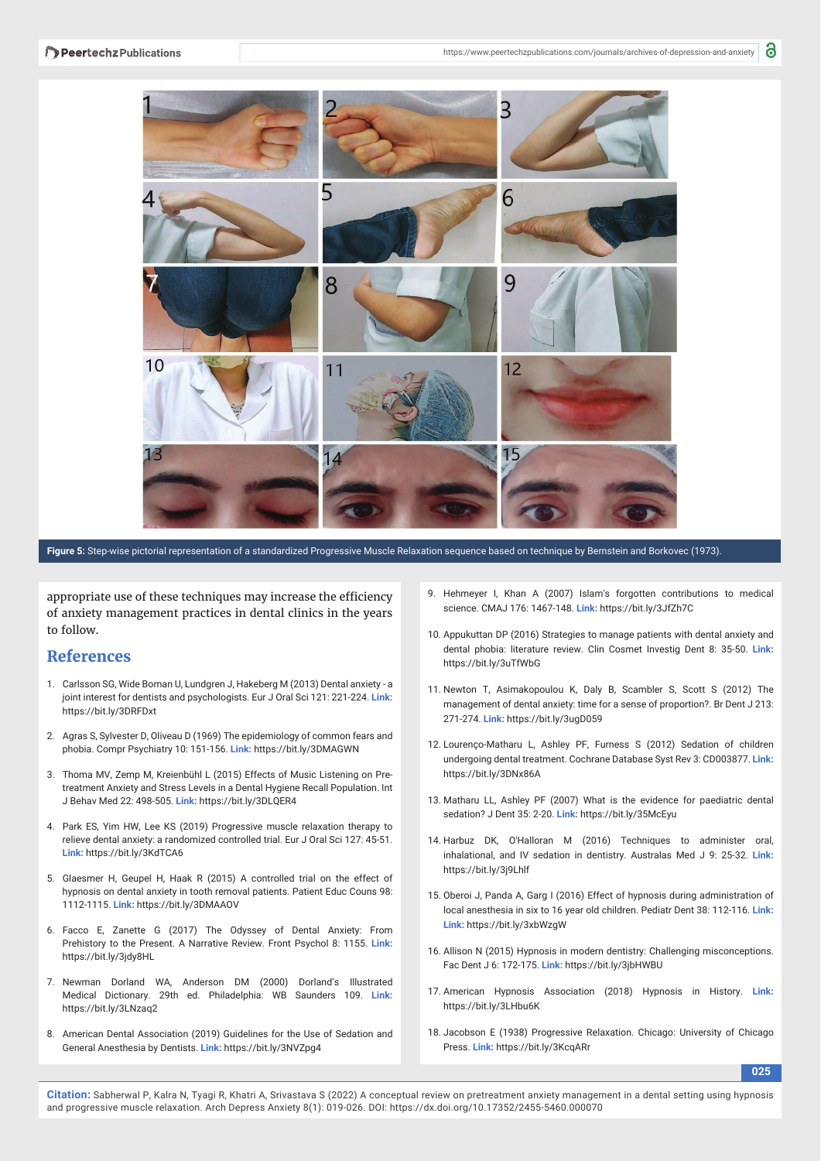

**Figure 5:** Step-wise pictorial representation of a standardized Progressive Muscle Relaxation sequence based on technique by Bernstein and Borkovec (1973).

appropriate use of these techniques may increase the efficiency of anxiety management practices in dental clinics in the years to follow.

# **References**

- 1. Carlsson SG, Wide Boman U, Lundgren J, Hakeberg M (2013) Dental anxiety a joint interest for dentists and psychologists. Eur J Oral Sci 121: 221-224. **Link:** https://bit.ly/3DRFDxt
- 2. Agras S, Sylvester D, Oliveau D (1969) The epidemiology of common fears and phobia. Compr Psychiatry 10: 151-156. **Link:** https://bit.ly/3DMAGWN
- 3. Thoma MV, Zemp M, Kreienbühl L (2015) Effects of Music Listening on Pretreatment Anxiety and Stress Levels in a Dental Hygiene Recall Population. Int J Behav Med 22: 498-505. **Link:** https://bit.ly/3DLQER4
- 4. Park ES, Yim HW, Lee KS (2019) Progressive muscle relaxation therapy to relieve dental anxiety: a randomized controlled trial. Eur J Oral Sci 127: 45-51. **Link:** https://bit.ly/3KdTCA6
- 5. Glaesmer H, Geupel H, Haak R (2015) A controlled trial on the effect of hypnosis on dental anxiety in tooth removal patients. Patient Educ Couns 98: 1112-1115. **Link:** https://bit.ly/3DMAAOV
- 6. Facco E, Zanette G (2017) The Odyssey of Dental Anxiety: From Prehistory to the Present. A Narrative Review. Front Psychol 8: 1155. **Link:** https://bit.ly/3jdy8HL
- 7. Newman Dorland WA, Anderson DM (2000) Dorland's Illustrated Medical Dictionary. 29th ed. Philadelphia: WB Saunders 109. **Link:**  https://bit.ly/3LNzaq2
- 8. American Dental Association (2019) Guidelines for the Use of Sedation and General Anesthesia by Dentists. **Link:** https://bit.ly/3NVZpg4
- 9. Hehmeyer I, Khan A (2007) Islam's forgotten contributions to medical science. CMAJ 176: 1467-148. **Link:** https://bit.ly/3JfZh7C
- 10. Appukuttan DP (2016) Strategies to manage patients with dental anxiety and dental phobia: literature review. Clin Cosmet Investig Dent 8: 35-50. **Link:** https://bit.ly/3uTfWbG
- 11. Newton T, Asimakopoulou K, Daly B, Scambler S, Scott S (2012) The management of dental anxiety: time for a sense of proportion?. Br Dent J 213: 271-274. **Link:** https://bit.ly/3ugD059
- 12. Lourenço-Matharu L, Ashley PF, Furness S (2012) Sedation of children undergoing dental treatment. Cochrane Database Syst Rev 3: CD003877. **Link:** https://bit.ly/3DNx86A
- 13. Matharu LL, Ashley PF (2007) What is the evidence for paediatric dental sedation? J Dent 35: 2-20. **Link:** https://bit.ly/35McEyu
- 14. Harbuz DK, O'Halloran M (2016) Techniques to administer oral, inhalational, and IV sedation in dentistry. Australas Med J 9: 25-32. **Link:** https://bit.ly/3j9Lhlf
- 15. Oberoi J, Panda A, Garg I (2016) Effect of hypnosis during administration of local anesthesia in six to 16 year old children. Pediatr Dent 38: 112-116. **Link: Link:** https://bit.ly/3xbWzgW
- 16. Allison N (2015) Hypnosis in modern dentistry: Challenging misconceptions. Fac Dent J 6: 172-175. **Link:** https://bit.ly/3jbHWBU
- 17. American Hypnosis Association (2018) Hypnosis in History. **Link:** https://bit.ly/3LHbu6K
- 18. Jacobson E (1938) Progressive Relaxation. Chicago: University of Chicago Press. **Link:** https://bit.ly/3KcqARr

**025**